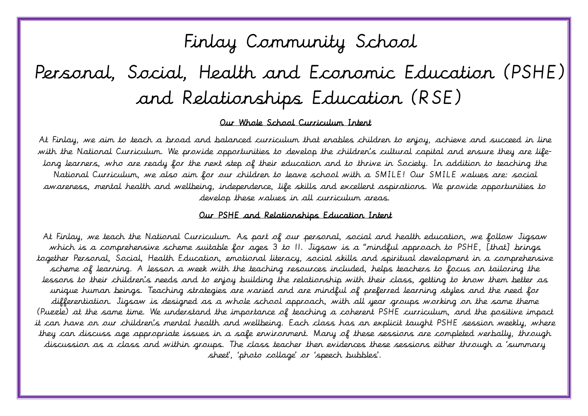# Finlay Community School

# Personal, Social, Health and Economic Education (PSHE) and Relationships Education (RSE)

#### Our Whole School Curriculum Intent

 At Finlay, we aim to teach a broad and balanced curriculum that enables children to enjoy, achieve and succeed in line with the National Curriculum. We provide opportunities to develop the children's cultural capital and ensure they are life- long learners, who are ready for the next step of their education and to thrive in Society. In addition to teaching the  $\tilde{\cdot}$  develop these values in all curriculum areas. National Curriculum, we also aim for our children to leave school with a SMILE! Our SMILE values are: social awareness, mental health and wellbeing, independence, life skills and excellent aspirations. We provide opportunities to

#### $\mathbf{r}$ Our PSHE and Relationships Education Intent

 At Finlay, we teach the National Curriculum. As part of our personal, social and health education, we follow Jigsaw which is a comprehensive scheme suitable for ages 3 to 11. Jigsaw is a "mindful approach to PSHE, [that] brings scheme of learning. A lesson a week with the teaching resources included, helps teachers to focus on tailoring the lessons to their children's needs and to enjoy building the relationship with their class, getting to know them better as unique human beings. Teaching strategies are varied and are mindful of preferred learning styles and the need for  $\ddot{\phantom{0}}$  it can have on our children's mental health and wellbeing. Each class has an explicit taught PSHE session weekly, where they can discuss age appropriate issues in a safe environment. Many of these sessions are completed verbally, through together Personal, Social, Health Education, emotional literacy, social skills and spiritual development in a comprehensive differentiation. Jigsaw is designed as a whole school approach, with all year groups working on the same theme (Puzzle) at the same time. We understand the importance of teaching a coherent PSHE curriculum, and the positive impact discussion as a class and within groups. The class teacher then evidences these sessions either through a 'summary sheet', 'photo collage' or 'speech bubbles'.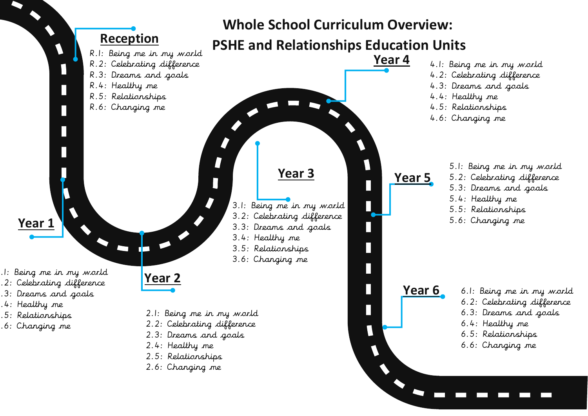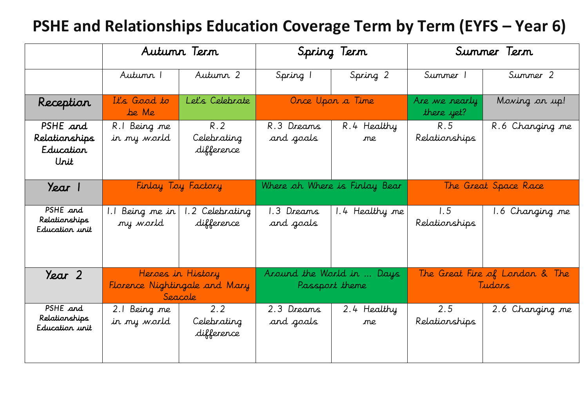#### **PSHE and Relationships Education Coverage Term by Term (EYFS – Year 6)**

|                                                | Autumn Term                                                   |                                  | Spring Term                                 |                   | Summer Term                              |                 |
|------------------------------------------------|---------------------------------------------------------------|----------------------------------|---------------------------------------------|-------------------|------------------------------------------|-----------------|
|                                                | Autumn 1                                                      | Autumn 2                         | Spring 1                                    | Spring 2          | Summer 1                                 | Summer 2        |
| Reception                                      | It's Good to<br>be Me                                         | Let's Celebrate                  |                                             | Once Upon a Time  | Are we nearly<br>there yet?              | Moving on up!   |
| PSHE and<br>Relationships<br>Education<br>Urit | R.I Being me<br>in my world                                   | R.2<br>Celebrating<br>difference | R.3 Dreams<br>and goals                     | R.4 Healthy<br>me | R.5<br>Relationships                     | R.6 Changing me |
| Year 1                                         | Finlay Toy Factory                                            |                                  | Where oh Where is Finlay Bear               |                   | The Great Space Race                     |                 |
| PSHE and<br>Relationships<br>Education unit    | Being me in<br>my world                                       | .2 Celebrating<br>difference     | 1.3 Dreams<br>and goals                     | 1.4 Healthy me    | 1.5<br>Relationships                     | 1.6 Changing me |
| Year 2                                         | Heroes in History<br>Florence Nightingale and Mary<br>Seacole |                                  | Around the World in  Days<br>Passport theme |                   | The Great Fire of London & The<br>Tudars |                 |
| PSHE and<br>Relationships<br>Education unit    | 2.1 Being me<br>in my world                                   | 2.2<br>Celebrating<br>difference | 2.3 Dreams<br>and goals                     | 2.4 Healthy<br>me | 2.5<br>Relationships                     | 2.6 Changing me |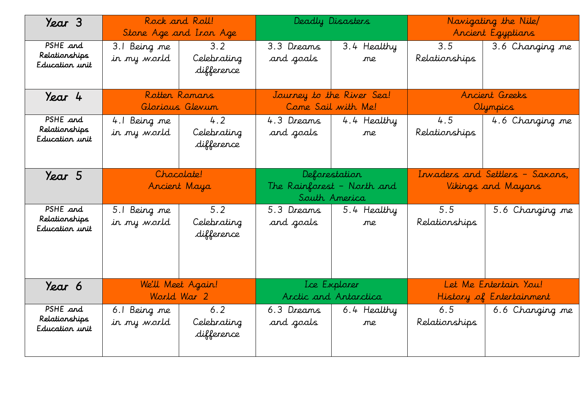| Year 3                                      | Rock and Roll!<br>Stone Age and Iron Age |                                  | Deadly Disasters                                             |                   | Navigating the Nile/<br>Ancient Egyptians             |                                                   |
|---------------------------------------------|------------------------------------------|----------------------------------|--------------------------------------------------------------|-------------------|-------------------------------------------------------|---------------------------------------------------|
| PSHE and<br>Relationships<br>Education unit | 3.1 Being me<br>in my world              | 3.2<br>Celebrating<br>difference | 3.3 Dreams<br>and goals                                      | 3.4 Healthy<br>me | 3.5<br>Relationships                                  | 3.6 Changing me                                   |
| Year 4                                      | Rotten Romans<br>Glorious Glevun         |                                  | Journey to the River Sea!<br>Come Sail with Me!              |                   | Ancient Greeks<br>Olympics                            |                                                   |
| PSHE and<br>Relationships<br>Education unit | 4.1 Being me<br>in my world              | 4.2<br>Celebrating<br>difference | 4.3 Dreams<br>and goals                                      | 4.4 Healthy<br>ne | 4.5<br>Relationships                                  | 4.6 Changing me                                   |
| Year 5                                      | Chocolate!<br>Ancient Maya               |                                  | Deforestation<br>The Rainforest - North and<br>South America |                   | Invaders and Settlers - Saxons,<br>Vikings and Mayans |                                                   |
| PSHE and<br>Relationships<br>Education unit | 5.1 Being me<br>in my world              | 5.2<br>Celebrating<br>difference | 5.3 Dreams<br>and goals                                      | 5.4 Healthy<br>me | 5.5<br>Relationships                                  | 5.6 Changing me                                   |
| Year 6                                      | We'll Meet Again!<br>World War 2         |                                  | Ice Explorer<br>Arctic and Antarctica                        |                   |                                                       | Let Me Entertain You!<br>History of Entertainment |
| PSHE and<br>Relationships<br>Education unit | 6.1 Being me<br>in my world              | 6.2<br>Celebrating<br>difference | 6.3 Dreams<br>and goals                                      | 6.4 Healthy<br>ne | 6.5<br>Relationships                                  | 6.6 Changing me                                   |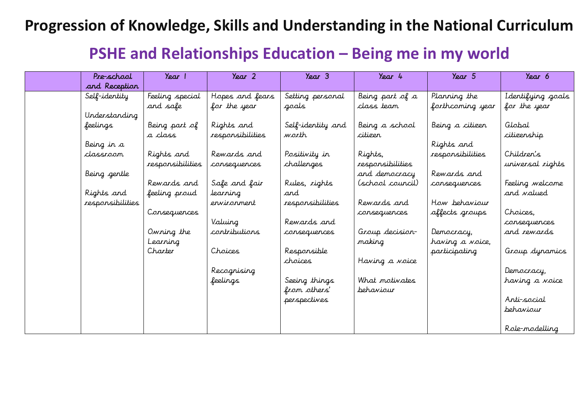#### **Progression of Knowledge, Skills and Understanding in the National Curriculum**

#### **PSHE and Relationships Education – Being me in my world**

| Pre-school       | Year 1           | Year 2           | $\gamma_{\text{ear}}$ 3 | Year 4           | Year 5           | Year 6             |
|------------------|------------------|------------------|-------------------------|------------------|------------------|--------------------|
| and Reception    |                  |                  |                         |                  |                  |                    |
| Self-identity    | Feeling special  | Hopes and fears  | Setting personal        | Being part of a  | Planning the     | I dentifying goals |
|                  | and safe         | for the year     | goals                   | class team       | forthcoming year | for the year       |
| Understanding    |                  |                  |                         |                  |                  |                    |
| feelings         | Being part of    | Rights and       | Self-identity and       | Being a school   | Being a citizen  | Global             |
|                  | a class          | responsibilities | worth                   | citizer          |                  | citizenship        |
| Being in a       |                  |                  |                         |                  | Rights and       |                    |
| classroom        | Rights and       | Rewards and      | Positivity in           | Rights,          | responsibilities | Children's         |
|                  | responsibilities | consequences     | challenges              | responsibilities |                  | universal rights   |
| Being gentle     |                  |                  |                         | and democracy    | Rewards and      |                    |
|                  | Rewards and      | Safe and fair    | Rules, rights           | (school council) | consequences     | Feeling welcome    |
| Rights and       | feeling proud    | learning         | and                     |                  |                  | and <i>valued</i>  |
| responsibilities |                  | ervirorment      | responsibilities        | Rewards and      | How behaviour    |                    |
|                  | Consequences     |                  |                         | consequences     | affects groups   | Choices,           |
|                  |                  | Valuing          | Rewards and             |                  |                  | consequences       |
|                  | Owning the       | contributions    | consequences            | Group decision-  | Democracy,       | and rewards        |
|                  | Learning         |                  |                         | making           | having a voice,  |                    |
|                  | Charter          | Choices          | Responsible             |                  | participating    | Group dynamics     |
|                  |                  |                  | choices                 | Having a voice   |                  |                    |
|                  |                  | Recognising      |                         |                  |                  | Democracy,         |
|                  |                  | feelings         | Seeing things           | What motivates   |                  | having a voice     |
|                  |                  |                  | from others'            | behaviour        |                  |                    |
|                  |                  |                  | perspectives            |                  |                  | Anti-social        |
|                  |                  |                  |                         |                  |                  | <b>behaviour</b>   |
|                  |                  |                  |                         |                  |                  |                    |
|                  |                  |                  |                         |                  |                  | Role-modelling     |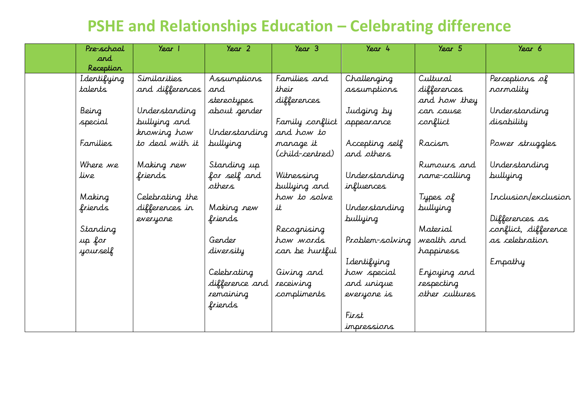#### **PSHE and Relationships Education – Celebrating difference**

| Pre-school  | Year 1          | Year 2         | $\gamma_{\text{ear}}$ 3 | Year 4          | Year 5         | Year 6               |
|-------------|-----------------|----------------|-------------------------|-----------------|----------------|----------------------|
| and         |                 |                |                         |                 |                |                      |
| Reception   |                 |                |                         |                 |                |                      |
| Identifying | Similarities    | Assumptions    | Families and            | Challenging     | Cultural       | Perceptions of       |
| talents     | and differences | and            | their                   | assumptions     | differences    | rormality            |
|             |                 | stereotypes    | differences             |                 | and how they   |                      |
| Being       | Understanding   | about gender   |                         | Judging by      | can cause      | Understanding        |
| special     | bullying and    |                | Family conflict         | appearance      | conflict       | disability           |
|             | knowing how     | Understanding  | and how to              |                 |                |                      |
| Families    | to deal with it | bullying       | manage it               | Accepting self  | Racism         | Power struggles      |
|             |                 |                | (child-centred)         | and others      |                |                      |
| Where we    | Making new      | Standing up    |                         |                 | Rumours and    | Understanding        |
| live        | friends         | for self and   | Witnessing              | Understanding   | name-calling   | <b>bullying</b>      |
|             |                 | others         | bullying and            | influences      |                |                      |
| Making      | Celebrating the |                | how to solve            |                 | Types of       | Inclusion/exclusion  |
| friends     | differences in  | Making new     | it                      | Understanding   | bullying       |                      |
|             | everyone        | friends        |                         | bullying        |                | Differences as       |
| Standing    |                 |                | Recognising             |                 | Material       | conflict, difference |
| up for      |                 | Gender         | how words               | Problem-solving | wealth and     | as celebration       |
| yourself    |                 | diversity      | can be hurtful          |                 | happiness      |                      |
|             |                 |                |                         | Identifying     |                | Empathy              |
|             |                 | Celebrating    | Giving and              | how special     | Enjoying and   |                      |
|             |                 | difference and | receiving               | and unique      | respecting     |                      |
|             |                 | remaining      | compliments             | everyone is     | other cultures |                      |
|             |                 | friends        |                         |                 |                |                      |
|             |                 |                |                         | First           |                |                      |
|             |                 |                |                         | impressions     |                |                      |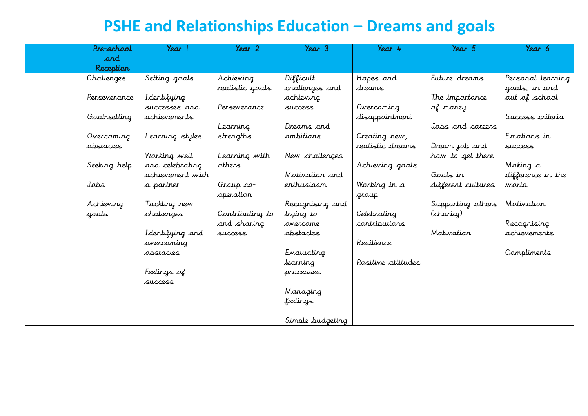## **PSHE and Relationships Education – Dreams and goals**

| Pre-school   | Year 1           | Year 2                | Year 3           | Year 4             | $\gamma_{\text{ear}}$ 5 | Year 6            |
|--------------|------------------|-----------------------|------------------|--------------------|-------------------------|-------------------|
| ard          |                  |                       |                  |                    |                         |                   |
| Reception    |                  |                       |                  |                    |                         |                   |
| Challenges   | Setting goals    | Achieving             | Difficult        | Hopes and          | Future dreams           | Personal learning |
|              |                  | realistic goals       | challenges and   | dreams             |                         | goals, in and     |
| Perseverance | Identifying      |                       | achieving        |                    | The importance          | aut of school     |
|              | successes and    | Perseverance          | success          | Overcoming         | of money                |                   |
| Goal-setting | achievements     |                       |                  | disappointment     |                         | Success criteria  |
|              |                  | Learning              | Dreams and       |                    | Jobs and careers        |                   |
| Overcoming   | Learning styles  | strengths             | ambitions        | Creating new,      |                         | Enotions in       |
| abstacles    |                  |                       |                  | realistic dreams   | Dream job and           | <i>SUCCESS</i>    |
|              | Working well     | Learning with         | New challenges   |                    | how to get there        |                   |
| Seeking help | and celebrating  | athers                |                  | Achieving goals    |                         | Making a          |
|              | achievement with |                       | Motivation and   |                    | Goals in                | difference in the |
| Jobs         | a partner        | $G$ <i>roup</i> $co-$ | enthusiasm       | Working in a       | different cultures      | world             |
|              |                  | operation             |                  | group              |                         |                   |
| Achieving    | Tackling new     |                       | Recognising and  |                    | Supporting others       | Motivation        |
| goals        | challenges       | Contributing to       | trying to        | Celebrating        | (charity)               |                   |
|              |                  | and sharing           | overcome         | contributions      |                         | Recognising       |
|              | Identifying and  | success               | obstacles        |                    | Motivation              | achievements      |
|              | overcoming       |                       |                  | Resilience         |                         |                   |
|              | obstacles        |                       | Evaluating       |                    |                         | Compliments       |
|              |                  |                       | learning         | Positive attitudes |                         |                   |
|              | Feelings of      |                       | processes        |                    |                         |                   |
|              | success          |                       |                  |                    |                         |                   |
|              |                  |                       | Managing         |                    |                         |                   |
|              |                  |                       | feelings         |                    |                         |                   |
|              |                  |                       |                  |                    |                         |                   |
|              |                  |                       | Simple budgeting |                    |                         |                   |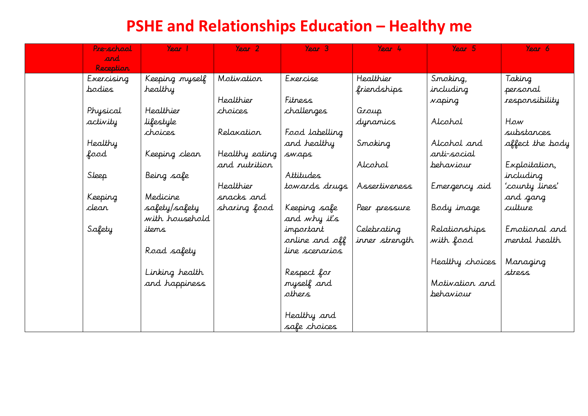## **PSHE and Relationships Education – Healthy me**

| Pre-school       | Year 1         | Year 2         | Year 3         | Year 4         | Year 5          | Year 6          |
|------------------|----------------|----------------|----------------|----------------|-----------------|-----------------|
| and              |                |                |                |                |                 |                 |
| <b>Reception</b> |                |                |                |                |                 |                 |
| Exercising       | Keeping myself | Motivation     | Exercise       | Healthier      | Smoking,        | Taking          |
| bodies           | healthy        |                |                | friendships    | including       | personal        |
|                  |                | Healthier      | Fitness        |                | vaping          | responsibility  |
| Physical         | Healthier      | choices        | challenges     | Group          |                 |                 |
| activity         | lifestyle      |                |                | dynamics       | Alcohol         | How             |
|                  | choices        | Relaxation     | Food labelling |                |                 | substances      |
| Healthy          |                |                | and healthy    | Smoking        | Alcohol and     | affect the body |
| food             | Keeping clean  | Healthy eating | swaps          |                | anti-social     |                 |
|                  |                | and nutrition  |                | Alcohol        | behaviour       | Exploitation,   |
| Sleep            | Being safe     |                | Attitudes      |                |                 | including       |
|                  |                | Healthier      | towards drugs  | Assertiveness  | Emergency aid   | 'county lines'  |
| Keeping          | Medicine       | snacks and     |                |                |                 | and gang        |
| clear            | safety/safety  | sharing food   | Keeping safe   | Peer pressure  | Body image      | culture         |
|                  | with household |                | and why it's   |                |                 |                 |
| Safety           | items          |                | important      | Celebrating    | Relationships   | Emotional and   |
|                  |                |                | orline and off | inner strength | with food       | mental health   |
|                  | Road safety    |                | line scenarios |                |                 |                 |
|                  |                |                |                |                | Healthy choices | Managing        |
|                  | Linking health |                | Respect for    |                |                 | stress          |
|                  | and happiness  |                | myself and     |                | Motivation and  |                 |
|                  |                |                | others         |                | behaviour       |                 |
|                  |                |                |                |                |                 |                 |
|                  |                |                | Healthy and    |                |                 |                 |
|                  |                |                | safe choices   |                |                 |                 |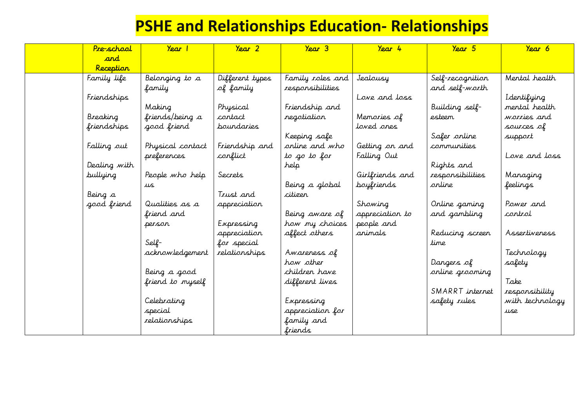## **PSHE and Relationships Education- Relationships**

| Pre-school   | Y <sub>ear</sub> | $\gamma_{\text{ear}}$ 2 | $\gamma_{\text{ear}}$ 3 | $\gamma_{\text{ear}}$ 4 | Year 5           | Year 6          |
|--------------|------------------|-------------------------|-------------------------|-------------------------|------------------|-----------------|
| and          |                  |                         |                         |                         |                  |                 |
| Reception    |                  |                         |                         |                         |                  |                 |
| Family life  | Belonging to a   | Different types         | Family roles and        | Jealousy                | Self-recognition | Mental health   |
|              | family           | of family               | responsibilities        |                         | and self-worth   |                 |
| Friendships  |                  |                         |                         | Love and loss           |                  | Identifying     |
|              | Making           | Physical                | Friendship and          |                         | Building self-   | mental health   |
| Breaking     | friends/being a  | contact                 | regotiation             | Memories of             | esteem           | warries and     |
| friendships  | good friend      | poundaries              |                         | loved ones              |                  | sources of      |
|              |                  |                         | Keeping safe            |                         | Safer online     | support         |
| Falling out  | Physical contact | Friendship and          | orline and who          | Getting on and          | communities      |                 |
|              | preferences      | conflict                | to go to for            | Falling Out             |                  | Love and loss   |
| Dealing with |                  |                         | help                    |                         | Rights and       |                 |
| bullying     | People who help  | Secrets                 |                         | Girlfriends and         | responsibilities | Managing        |
|              | us               |                         | Being a global          | <b>boyfriends</b>       | arline           | feelings        |
| Being a      |                  | Trust and               | citizer                 |                         |                  |                 |
| good friend  | Qualities as a   | appreciation            |                         | Showing                 | Online gaming    | Power and       |
|              | friend and       |                         | Being aware of          | appreciation to         | and gambling     | control         |
|              | person           | Expressing              | how my choices          | people and              |                  |                 |
|              |                  | appreciation            | affect others           | animals                 | Reducing screen  | Assertiveness   |
|              | Self-            | for special             |                         |                         | time             |                 |
|              | acknowledgement  | relationships           | Awareness of            |                         |                  | Technology      |
|              |                  |                         | how other               |                         | Dangers of       | safety          |
|              | Being a good     |                         | children have           |                         | online grooming  |                 |
|              | friend to myself |                         | different lives         |                         |                  | Take            |
|              |                  |                         |                         |                         | SMARRT internet  | responsibility  |
|              | Celebrating      |                         | Expressing              |                         | safety rules     | with technology |
|              | special          |                         | appreciation for        |                         |                  | use             |
|              | relationships    |                         | family and              |                         |                  |                 |
|              |                  |                         | friends                 |                         |                  |                 |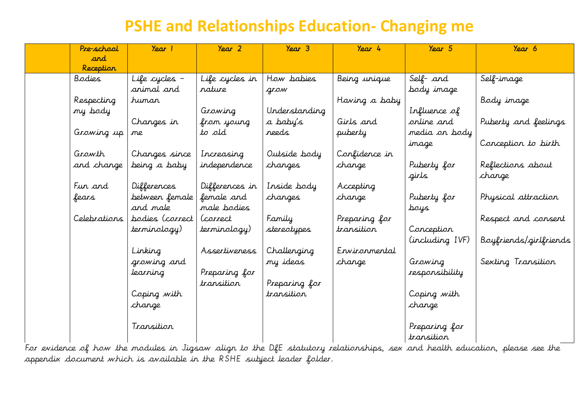#### **PSHE and Relationships Education- Changing me**

| Pre-school   | Y <sub>ear</sub> | $\gamma_{\text{ear}}$ 2 | $\gamma_{\text{ear}}$ 3 | Year 4        | Year 5          | Year 6                 |
|--------------|------------------|-------------------------|-------------------------|---------------|-----------------|------------------------|
| and          |                  |                         |                         |               |                 |                        |
| Reception    |                  |                         |                         |               |                 |                        |
| Bodies       | Life cycles -    | Life cycles in          | How babies              | Being unique  | Self- and       | Self-image             |
|              | animal and       | rature                  | grow                    |               | body image      |                        |
| Respecting   | human            |                         |                         | Having a baby |                 | Body image             |
| my body      |                  | Growing                 | Understanding           |               | Influence of    |                        |
|              | Changes in       | from young              | a baby's                | Girls and     | orline and      | Puberty and feelings   |
| Growing up   | me               | to old                  | reeds                   | puberty       | media on body   |                        |
|              |                  |                         |                         |               | image           | Conception to birth    |
| Growth       | Changes since    | Increasing              | Outside body            | Confidence in |                 |                        |
| and change   | being a baby     | independence            | changes                 | change        | Puberty for     | Reflections about      |
|              |                  |                         |                         |               | girls           | change                 |
| Fun and      | Differences      | Differences in          | Inside body             | Accepting     |                 |                        |
| fears        | between female   | female and              | changes                 | change        | Puberty for     | Physical attraction    |
|              | and male         | male bodies             |                         |               | sfort           |                        |
| Celebrations | bodies (correct  | (correct                | Family                  | Preparing for |                 | Respect and consent    |
|              | terminology)     | terminology)            | stereotypes             | transition    | Conception      |                        |
|              |                  |                         |                         |               | (including IVF) | Boyfriends/girlfriends |
|              | Linking          | Assertiveness           | Challenging             | Ervironmental |                 |                        |
|              | growing and      |                         | my ideas                | change        | Growing         | Sexting Transition     |
|              | learning         | Preparing for           |                         |               | responsibility  |                        |
|              |                  | transition              | Preparing for           |               |                 |                        |
|              | Coping with      |                         | transition              |               | Coping with     |                        |
|              | change           |                         |                         |               | change          |                        |
|              |                  |                         |                         |               |                 |                        |
|              | Transition       |                         |                         |               | Preparing for   |                        |
|              |                  |                         |                         |               | transition      |                        |

For evidence of how the modules in Jigsaw align to the DfE statutory relationships, sex and health education, please see the appendix document which is available in the RSHE subject leader folder.